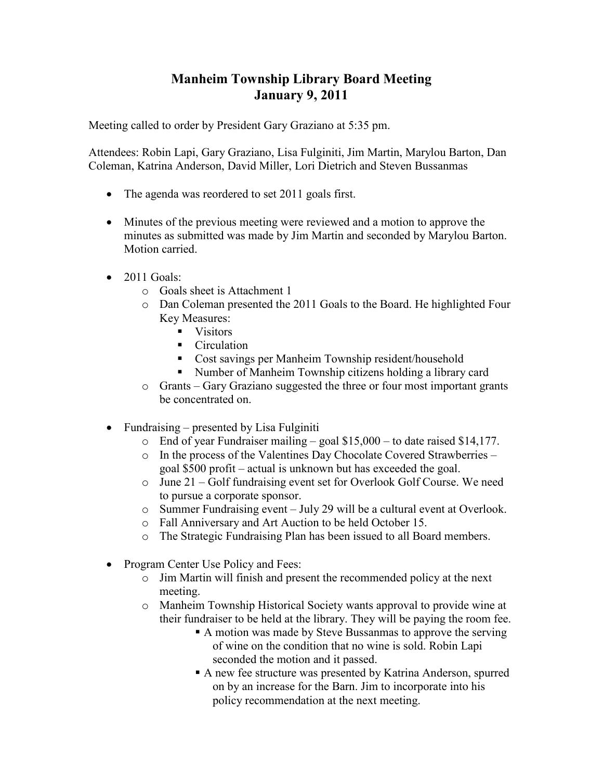## **Manheim Township Library Board Meeting January 9, 2011**

Meeting called to order by President Gary Graziano at 5:35 pm.

Attendees: Robin Lapi, Gary Graziano, Lisa Fulginiti, Jim Martin, Marylou Barton, Dan Coleman, Katrina Anderson, David Miller, Lori Dietrich and Steven Bussanmas

- The agenda was reordered to set 2011 goals first.
- Minutes of the previous meeting were reviewed and a motion to approve the minutes as submitted was made by Jim Martin and seconded by Marylou Barton. Motion carried.
- 2011 Goals:
	- o Goals sheet is Attachment 1
	- o Dan Coleman presented the 2011 Goals to the Board. He highlighted Four Key Measures:
		- Visitors
		- Circulation
		- Cost savings per Manheim Township resident/household
		- Number of Manheim Township citizens holding a library card
	- o Grants Gary Graziano suggested the three or four most important grants be concentrated on.
- Fundraising presented by Lisa Fulginiti
	- o End of year Fundraiser mailing goal \$15,000 to date raised \$14,177.
	- o In the process of the Valentines Day Chocolate Covered Strawberries goal \$500 profit – actual is unknown but has exceeded the goal.
	- o June 21 Golf fundraising event set for Overlook Golf Course. We need to pursue a corporate sponsor.
	- o Summer Fundraising event July 29 will be a cultural event at Overlook.
	- o Fall Anniversary and Art Auction to be held October 15.
	- o The Strategic Fundraising Plan has been issued to all Board members.
- Program Center Use Policy and Fees:
	- o Jim Martin will finish and present the recommended policy at the next meeting.
	- o Manheim Township Historical Society wants approval to provide wine at their fundraiser to be held at the library. They will be paying the room fee.
		- A motion was made by Steve Bussanmas to approve the serving of wine on the condition that no wine is sold. Robin Lapi seconded the motion and it passed.
		- § A new fee structure was presented by Katrina Anderson, spurred on by an increase for the Barn. Jim to incorporate into his policy recommendation at the next meeting.